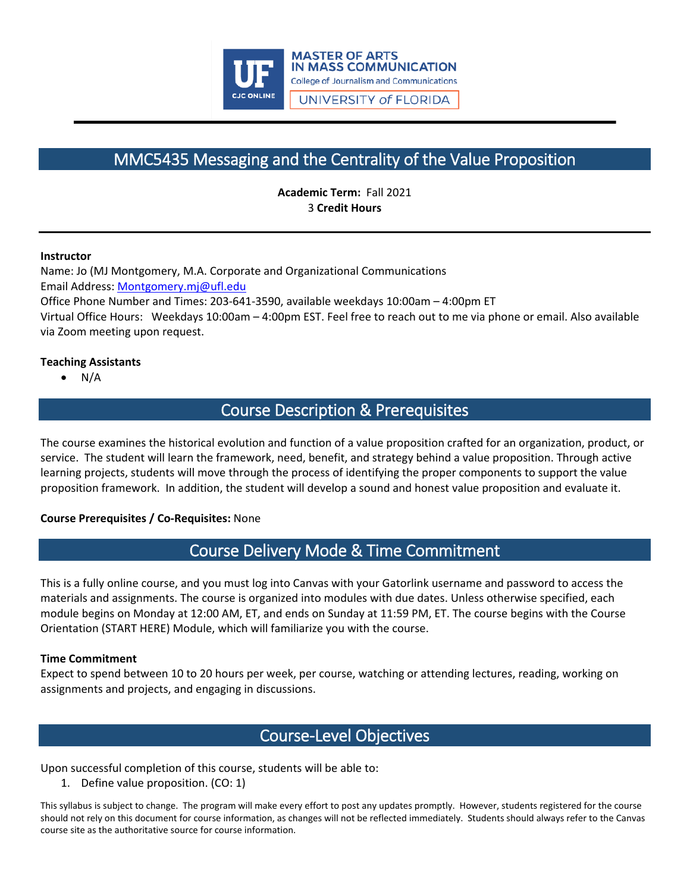

# MMC5435 Messaging and the Centrality of the Value Proposition

**Academic Term:** Fall 2021 3 **Credit Hours**

#### **Instructor**

Name: Jo (MJ Montgomery, M.A. Corporate and Organizational Communications Email Address: [Montgomery.mj@ufl.edu](mailto:Montgomery.mj@ufl.edu)

Office Phone Number and Times: 203-641-3590, available weekdays 10:00am – 4:00pm ET Virtual Office Hours: Weekdays 10:00am – 4:00pm EST. Feel free to reach out to me via phone or email. Also available

via Zoom meeting upon request.

#### **Teaching Assistants**

 $N/A$ 

# Course Description & Prerequisites

The course examines the historical evolution and function of a value proposition crafted for an organization, product, or service. The student will learn the framework, need, benefit, and strategy behind a value proposition. Through active learning projects, students will move through the process of identifying the proper components to support the value proposition framework. In addition, the student will develop a sound and honest value proposition and evaluate it.

#### **Course Prerequisites / Co-Requisites:** None

## Course Delivery Mode & Time Commitment

This is a fully online course, and you must log into Canvas with your Gatorlink username and password to access the materials and assignments. The course is organized into modules with due dates. Unless otherwise specified, each module begins on Monday at 12:00 AM, ET, and ends on Sunday at 11:59 PM, ET. The course begins with the Course Orientation (START HERE) Module, which will familiarize you with the course.

#### **Time Commitment**

Expect to spend between 10 to 20 hours per week, per course, watching or attending lectures, reading, working on assignments and projects, and engaging in discussions.

# Course-Level Objectives

Upon successful completion of this course, students will be able to:

1. Define value proposition. (CO: 1)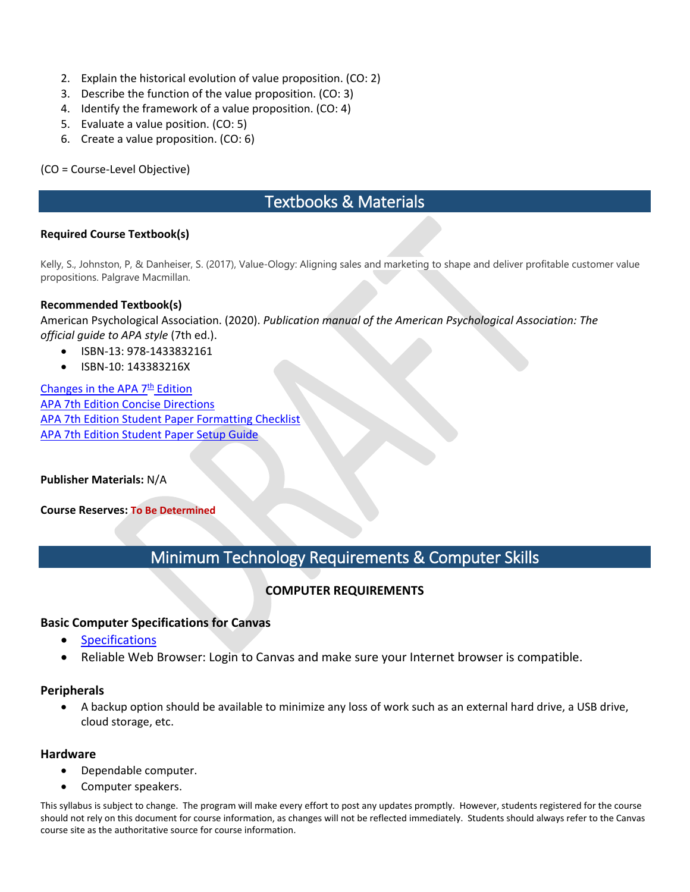- 2. Explain the historical evolution of value proposition. (CO: 2)
- 3. Describe the function of the value proposition. (CO: 3)
- 4. Identify the framework of a value proposition. (CO: 4)
- 5. Evaluate a value position. (CO: 5)
- 6. Create a value proposition. (CO: 6)

(CO = Course-Level Objective)

# Textbooks & Materials

#### **Required Course Textbook(s)**

Kelly, S., Johnston, P, & Danheiser, S. (2017), Value-Ology: Aligning sales and marketing to shape and deliver profitable customer value propositions. Palgrave Macmillan.

#### **Recommended Textbook(s)**

American Psychological Association. (2020). *Publication manual of the American Psychological Association: The official guide to APA style* (7th ed.).

- ISBN-13: 978-1433832161
- ISBN-10: 143383216X

Changes in the APA  $7<sup>th</sup>$  Edition [APA 7th Edition Concise Directions](https://ufl.instructure.com/courses/396235/files/56435314?wrap=1) [APA 7th Edition Student Paper Formatting Checklist](https://ufl.instructure.com/courses/396235/files/56436674?wrap=1) [APA 7th Edition Student Paper Setup Guide](https://ufl.instructure.com/courses/396235/files/56436205?wrap=1)

**Publisher Materials:** N/A

**Course Reserves: To Be Determined**

# Minimum Technology Requirements & Computer Skills

### **COMPUTER REQUIREMENTS**

#### **Basic [Computer Specifications](https://community.canvaslms.com/docs/DOC-2059) for Canvas**

- [Specifications](https://guides.instructure.com/m/67952/l/720328-what-are-the-basic-computer-specifications-for-canvas)
- Reliable Web Browser: Login to Canvas and make sure your Internet browser is compatible.

#### **Peripherals**

• A backup option should be available to minimize any loss of work such as an external hard drive, a USB drive, cloud storage, etc.

#### **Hardware**

- Dependable computer.
- Computer speakers.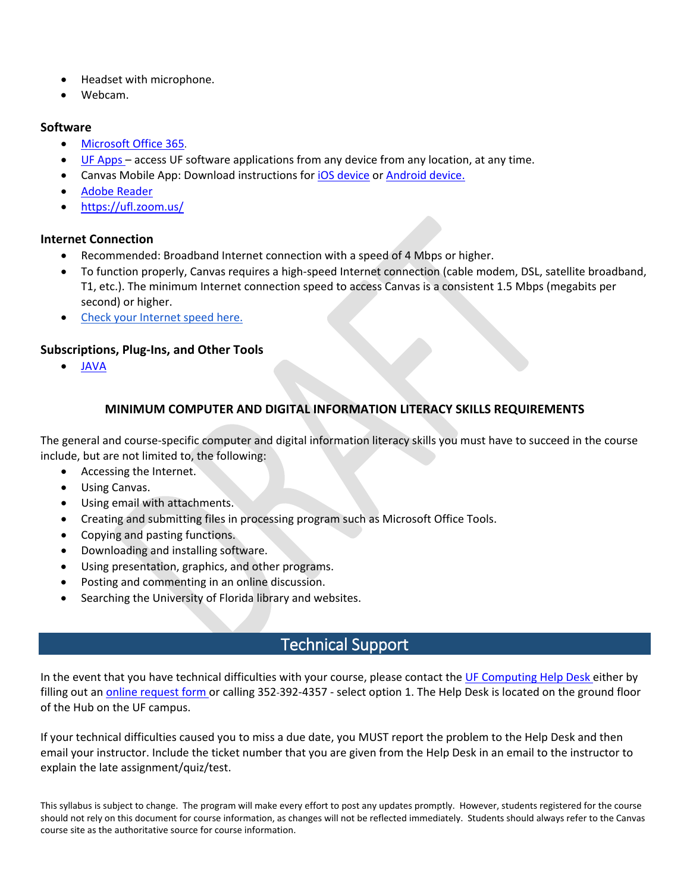- Headset with microphone.
- Webcam.

### **Software**

- [Microsoft Office 365.](https://news.it.ufl.edu/education/free-software-downloads-of-ms-office-365/)
- [UF Apps](https://info.apps.ufl.edu/) access UF software applications from any device from any location, at any time.
- Canvas Mobile App: Download instructions for *iOS* device or [Android device.](https://community.canvaslms.com/docs/DOC-1548)
- [Adobe Reader](https://get.adobe.com/reader/)
- <https://ufl.zoom.us/>

### **Internet Connection**

- Recommended: Broadband Internet connection with a speed of 4 Mbps or higher.
- To function properly, Canvas requires a high-speed Internet connection (cable modem, DSL, satellite broadband, T1, etc.). The minimum Internet connection speed to access Canvas is a consistent 1.5 Mbps (megabits per second) or higher.
- [Check your Internet speed here.](http://www.speedtest.net/)

### **Subscriptions, Plug-Ins, and Other Tools**

• [JAVA](https://www.java.com/en/download/manual.jsp)

### **MINIMUM COMPUTER AND DIGITAL INFORMATION LITERACY SKILLS REQUIREMENTS**

The general and course-specific computer and digital information literacy skills you must have to succeed in the course include, but are not limited to, the following:

- Accessing the Internet.
- Using Canvas.
- Using email with attachments.
- Creating and submitting files in processing program such as Microsoft Office Tools.
- Copying and pasting functions.
- Downloading and installing software.
- Using presentation, graphics, and other programs.
- Posting and commenting in an online discussion.
- Searching the University of Florida library and websites.

# Technical Support

In the event that you have technical difficulties with your course, please contact the [UF Computing Help Desk](https://it.ufl.edu/) either by filling out an [online request form](https://my.it.ufl.edu/CherwellPortal/UFITServicePortal) or calling 352-392-4357 - select option 1. The Help Desk is located on the ground floor of the Hub on the UF campus.

If your technical difficulties caused you to miss a due date, you MUST report the problem to the Help Desk and then email your instructor. Include the ticket number that you are given from the Help Desk in an email to the instructor to explain the late assignment/quiz/test.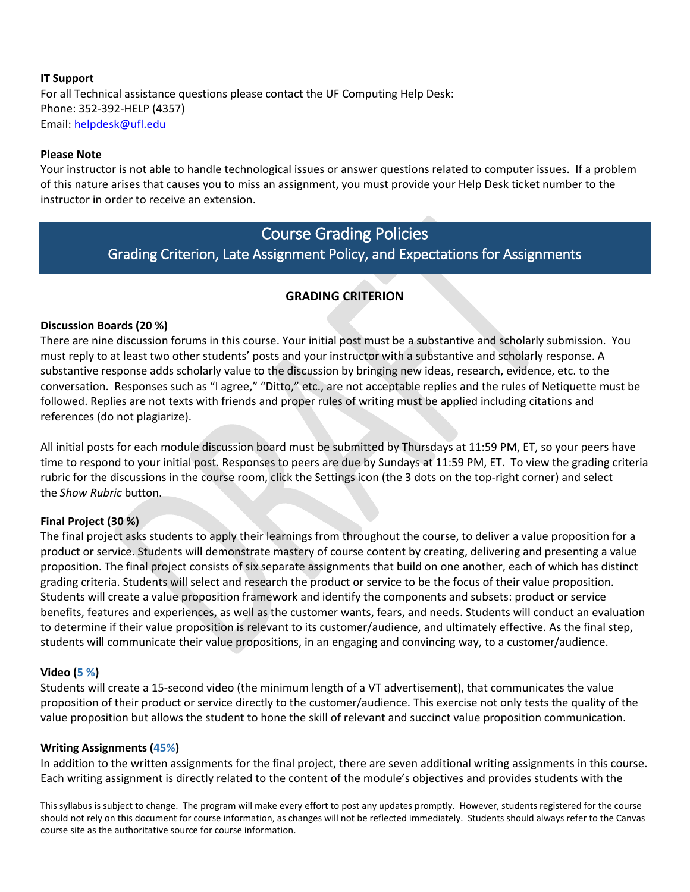### **IT Support** For all Technical assistance questions please contact the UF Computing Help Desk: Phone: 352-392-HELP (4357) Email: [helpdesk@ufl.edu](mailto:helpdesk@ufl.edu)

#### **Please Note**

Your instructor is not able to handle technological issues or answer questions related to computer issues. If a problem of this nature arises that causes you to miss an assignment, you must provide your Help Desk ticket number to the instructor in order to receive an extension.

# Course Grading Policies

Grading Criterion, Late Assignment Policy, and Expectations for Assignments

### **GRADING CRITERION**

### **Discussion Boards (20 %)**

There are nine discussion forums in this course. Your initial post must be a substantive and scholarly submission. You must reply to at least two other students' posts and your instructor with a substantive and scholarly response. A substantive response adds scholarly value to the discussion by bringing new ideas, research, evidence, etc. to the conversation. Responses such as "I agree," "Ditto," etc., are not acceptable replies and the rules of Netiquette must be followed. Replies are not texts with friends and proper rules of writing must be applied including citations and references (do not plagiarize).

All initial posts for each module discussion board must be submitted by Thursdays at 11:59 PM, ET, so your peers have time to respond to your initial post. Responses to peers are due by Sundays at 11:59 PM, ET. To view the grading criteria rubric for the discussions in the course room, click the Settings icon (the 3 dots on the top-right corner) and select the *Show Rubric* button.

#### **Final Project (30 %)**

The final project asks students to apply their learnings from throughout the course, to deliver a value proposition for a product or service. Students will demonstrate mastery of course content by creating, delivering and presenting a value proposition. The final project consists of six separate assignments that build on one another, each of which has distinct grading criteria. Students will select and research the product or service to be the focus of their value proposition. Students will create a value proposition framework and identify the components and subsets: product or service benefits, features and experiences, as well as the customer wants, fears, and needs. Students will conduct an evaluation to determine if their value proposition is relevant to its customer/audience, and ultimately effective. As the final step, students will communicate their value propositions, in an engaging and convincing way, to a customer/audience.

#### **Video (5 %)**

Students will create a 15-second video (the minimum length of a VT advertisement), that communicates the value proposition of their product or service directly to the customer/audience. This exercise not only tests the quality of the value proposition but allows the student to hone the skill of relevant and succinct value proposition communication.

#### **Writing Assignments (45%)**

In addition to the written assignments for the final project, there are seven additional writing assignments in this course. Each writing assignment is directly related to the content of the module's objectives and provides students with the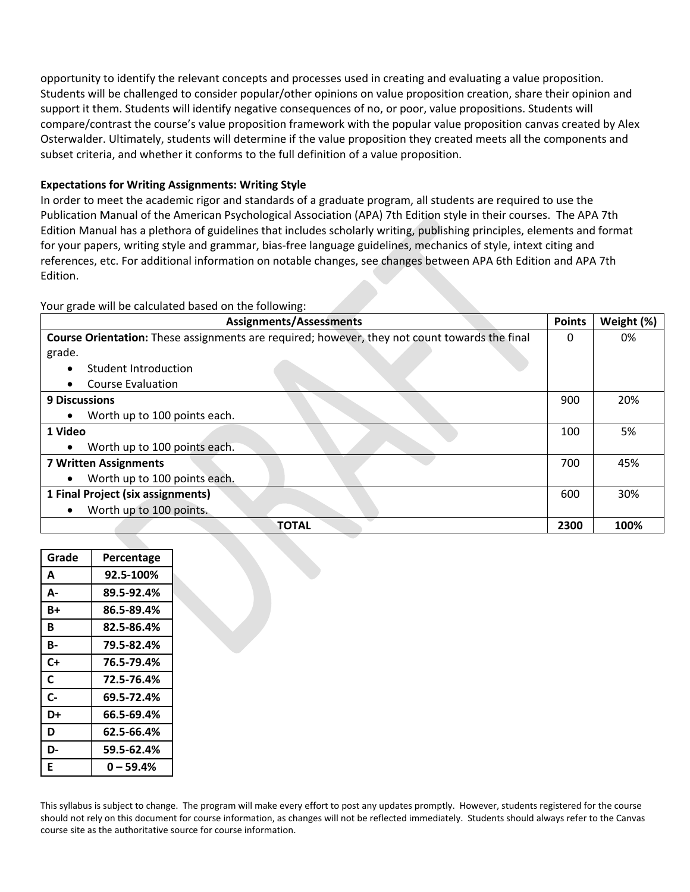opportunity to identify the relevant concepts and processes used in creating and evaluating a value proposition. Students will be challenged to consider popular/other opinions on value proposition creation, share their opinion and support it them. Students will identify negative consequences of no, or poor, value propositions. Students will compare/contrast the course's value proposition framework with the popular value proposition canvas created by Alex Osterwalder. Ultimately, students will determine if the value proposition they created meets all the components and subset criteria, and whether it conforms to the full definition of a value proposition.

### **Expectations for Writing Assignments: Writing Style**

In order to meet the academic rigor and standards of a graduate program, all students are required to use the Publication Manual of the American Psychological Association (APA) 7th Edition style in their courses. The APA 7th Edition Manual has a plethora of guidelines that includes scholarly writing, publishing principles, elements and format for your papers, writing style and grammar, bias-free language guidelines, mechanics of style, intext citing and references, etc. For additional information on notable changes, see changes between APA 6th Edition and APA 7th Edition.

Your grade will be calculated based on the following:

| <b>Assignments/Assessments</b>                                                                |      | Weight (%) |
|-----------------------------------------------------------------------------------------------|------|------------|
| Course Orientation: These assignments are required; however, they not count towards the final | 0    | 0%         |
| grade.                                                                                        |      |            |
| Student Introduction<br>$\bullet$                                                             |      |            |
| <b>Course Evaluation</b><br>$\bullet$                                                         |      |            |
| <b>9 Discussions</b>                                                                          | 900  | 20%        |
| Worth up to 100 points each.<br>$\bullet$                                                     |      |            |
| 1 Video                                                                                       | 100  | 5%         |
| Worth up to 100 points each.<br>$\bullet$                                                     |      |            |
| <b>7 Written Assignments</b>                                                                  | 700  | 45%        |
| Worth up to 100 points each.<br>$\bullet$                                                     |      |            |
| 1 Final Project (six assignments)                                                             | 600  | 30%        |
| Worth up to 100 points.<br>$\bullet$                                                          |      |            |
| <b>TOTAL</b>                                                                                  | 2300 | 100%       |

| Grade | Percentage |
|-------|------------|
| A     | 92.5-100%  |
| А-    | 89.5-92.4% |
| B+    | 86.5-89.4% |
| R     | 82.5-86.4% |
| В-    | 79.5-82.4% |
| C+    | 76.5-79.4% |
| C     | 72.5-76.4% |
| $c-$  | 69.5-72.4% |
| D+    | 66.5-69.4% |
| D     | 62.5-66.4% |
| D-    | 59.5-62.4% |
| Е     | 0 – 59.4%  |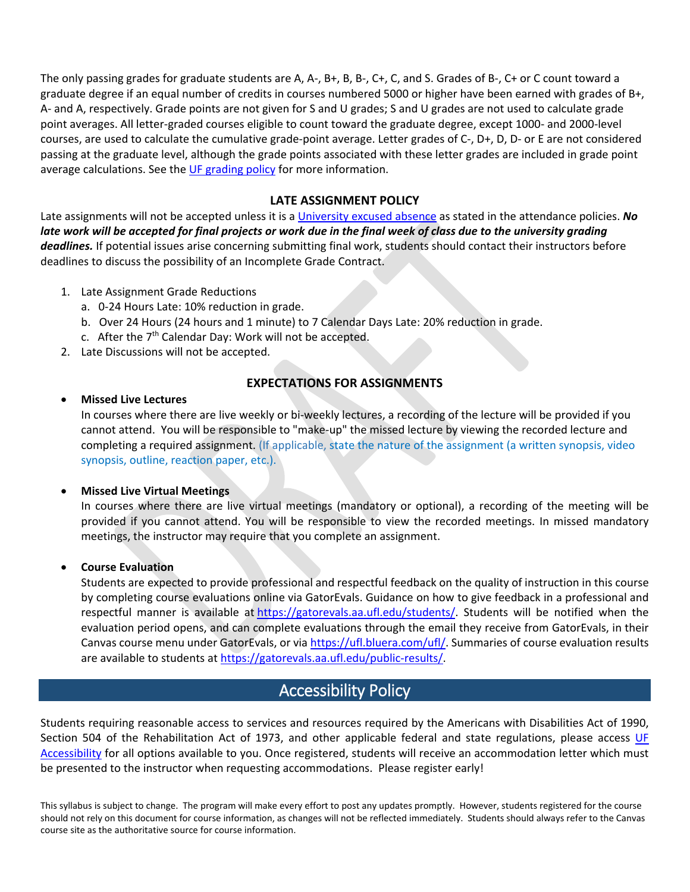The only passing grades for graduate students are A, A-, B+, B, B-, C+, C, and S. Grades of B-, C+ or C count toward a graduate degree if an equal number of credits in courses numbered 5000 or higher have been earned with grades of B+, A- and A, respectively. Grade points are not given for S and U grades; S and U grades are not used to calculate grade point averages. All letter-graded courses eligible to count toward the graduate degree, except 1000- and 2000-level courses, are used to calculate the cumulative grade-point average. Letter grades of C-, D+, D, D- or E are not considered passing at the graduate level, although the grade points associated with these letter grades are included in grade point average calculations. See the [UF grading policy](https://catalog.ufl.edu/graduate/regulations/#text) for more information.

### **LATE ASSIGNMENT POLICY**

Late assignments will not be accepted unless it is a [University excused absence](https://catalog.ufl.edu/UGRD/academic-regulations/attendance-policies/) as stated in the attendance policies. *No*  late work will be accepted for final projects or work due in the final week of class due to the university grading *deadlines.* If potential issues arise concerning submitting final work, students should contact their instructors before deadlines to discuss the possibility of an Incomplete Grade Contract.

- 1. Late Assignment Grade Reductions
	- a. 0-24 Hours Late: 10% reduction in grade.
	- b. Over 24 Hours (24 hours and 1 minute) to 7 Calendar Days Late: 20% reduction in grade.
	- c. After the  $7<sup>th</sup>$  Calendar Day: Work will not be accepted.
- 2. Late Discussions will not be accepted.

### **EXPECTATIONS FOR ASSIGNMENTS**

#### • **Missed Live Lectures**

In courses where there are live weekly or bi-weekly lectures, a recording of the lecture will be provided if you cannot attend. You will be responsible to "make-up" the missed lecture by viewing the recorded lecture and completing a required assignment. (If applicable, state the nature of the assignment (a written synopsis, video synopsis, outline, reaction paper, etc.).

#### • **Missed Live Virtual Meetings**

In courses where there are live virtual meetings (mandatory or optional), a recording of the meeting will be provided if you cannot attend. You will be responsible to view the recorded meetings. In missed mandatory meetings, the instructor may require that you complete an assignment.

#### • **Course Evaluation**

Students are expected to provide professional and respectful feedback on the quality of instruction in this course by completing course evaluations online via GatorEvals. Guidance on how to give feedback in a professional and respectful manner is available at [https://gatorevals.aa.ufl.edu/students/.](https://gatorevals.aa.ufl.edu/students/) Students will be notified when the evaluation period opens, and can complete evaluations through the email they receive from GatorEvals, in their Canvas course menu under GatorEvals, or via [https://ufl.bluera.com/ufl/.](https://ufl.bluera.com/ufl/) Summaries of course evaluation results are available to students at [https://gatorevals.aa.ufl.edu/public-results/.](https://gatorevals.aa.ufl.edu/public-results/)

## Accessibility Policy

Students requiring reasonable access to services and resources required by the Americans with Disabilities Act of 1990, Section 504 of the Rehabilitation Act of 1973, and other applicable federal and state regulations, please access UF [Accessibility](https://accessibility.ufl.edu/) for all options available to you. Once registered, students will receive an accommodation letter which must be presented to the instructor when requesting accommodations. Please register early!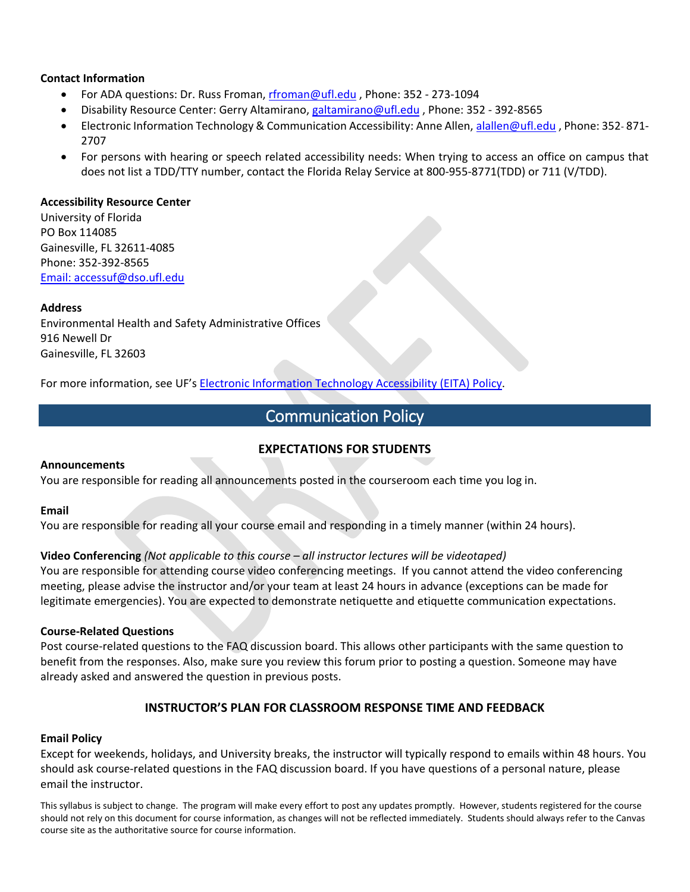#### **Contact Information**

- For ADA questions: Dr. Russ Froman, [rfroman@ufl.edu](mailto:rfroman@ufl.edu?Subject=Subject%20Here) , Phone: 352 273-1094
- Disability Resource Center: Gerry Altamirano, [galtamirano@ufl.edu](mailto:galtamirano@ufl.edu?Subject=Subject%20Here) , Phone: 352 392-8565
- Electronic Information Technology & Communication Accessibility: Anne Allen, [alallen@ufl.edu](mailto:alallen@ufl.edu?Subject=Subject%20Here), Phone: 352-871-2707
- For persons with hearing or speech related accessibility needs: When trying to access an office on campus that does not list a TDD/TTY number, contact the Florida Relay Service at 800-955-8771(TDD) or 711 (V/TDD).

#### **Accessibility Resource Center**

University of Florida PO Box 114085 Gainesville, FL 32611-4085 Phone: 352-392-8565 [Email: accessuf@dso.ufl.edu](mailto:accessuf@dso.ufl.edu)

#### **Address**

Environmental Health and Safety Administrative Offices 916 Newell Dr Gainesville, FL 32603

For more information, see UF's [Electronic Information Technology Accessibility \(EITA\) Policy.](https://it.ufl.edu/policies/eita-accessibility/eita-policy/)

# Communication Policy

### **EXPECTATIONS FOR STUDENTS**

#### **Announcements**

You are responsible for reading all announcements posted in the courseroom each time you log in.

#### **Email**

You are responsible for reading all your course email and responding in a timely manner (within 24 hours).

#### **Video Conferencing** *(Not applicable to this course – all instructor lectures will be videotaped)*

You are responsible for attending course video conferencing meetings. If you cannot attend the video conferencing meeting, please advise the instructor and/or your team at least 24 hours in advance (exceptions can be made for legitimate emergencies). You are expected to demonstrate netiquette and etiquette communication expectations.

#### **Course-Related Questions**

Post course-related questions to the FAQ discussion board. This allows other participants with the same question to benefit from the responses. Also, make sure you review this forum prior to posting a question. Someone may have already asked and answered the question in previous posts.

#### **INSTRUCTOR'S PLAN FOR CLASSROOM RESPONSE TIME AND FEEDBACK**

#### **Email Policy**

Except for weekends, holidays, and University breaks, the instructor will typically respond to emails within 48 hours. You should ask course-related questions in the FAQ discussion board. If you have questions of a personal nature, please email the instructor.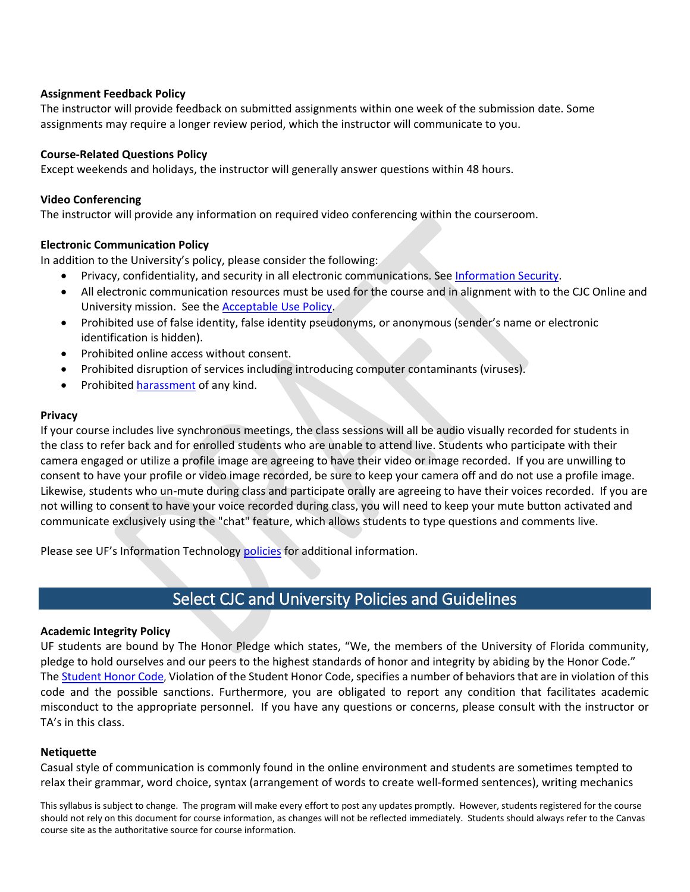#### **Assignment Feedback Policy**

The instructor will provide feedback on submitted assignments within one week of the submission date. Some assignments may require a longer review period, which the instructor will communicate to you.

#### **Course-Related Questions Policy**

Except weekends and holidays, the instructor will generally answer questions within 48 hours.

### **Video Conferencing**

The instructor will provide any information on required video conferencing within the courseroom.

### **Electronic Communication Policy**

In addition to the University's policy, please consider the following:

- Privacy, confidentiality, and security in all electronic communications. See [Information Security.](https://it.ufl.edu/policies/information-security/)
- All electronic communication resources must be used for the course and in alignment with to the CJC Online and University mission. See the [Acceptable Use Policy.](https://it.ufl.edu/policies/acceptable-use/acceptable-use-policy/)
- Prohibited use of false identity, false identity pseudonyms, or anonymous (sender's name or electronic identification is hidden).
- Prohibited online access without consent.
- Prohibited disruption of services including introducing computer contaminants (viruses).
- Prohibited [harassment](https://it.ufl.edu/policies/acceptable-use/acceptable-use-policy/) of any kind.

#### **Privacy**

If your course includes live synchronous meetings, the class sessions will all be audio visually recorded for students in the class to refer back and for enrolled students who are unable to attend live. Students who participate with their camera engaged or utilize a profile image are agreeing to have their video or image recorded. If you are unwilling to consent to have your profile or video image recorded, be sure to keep your camera off and do not use a profile image. Likewise, students who un-mute during class and participate orally are agreeing to have their voices recorded. If you are not willing to consent to have your voice recorded during class, you will need to keep your mute button activated and communicate exclusively using the "chat" feature, which allows students to type questions and comments live.

Please see UF's Information Technology [policies](https://it.ufl.edu/policies/) for additional information.

# Select CJC and University Policies and Guidelines

#### **Academic Integrity Policy**

UF students are bound by The Honor Pledge which states, "We, the members of the University of Florida community, pledge to hold ourselves and our peers to the highest standards of honor and integrity by abiding by the Honor Code." The [Student Honor Code,](https://sccr.dso.ufl.edu/policies/student-honor-code-student-conduct-code/) Violation of the Student Honor Code, specifies a number of behaviors that are in violation of this code and the possible sanctions. Furthermore, you are obligated to report any condition that facilitates academic misconduct to the appropriate personnel. If you have any questions or concerns, please consult with the instructor or TA's in this class.

### **Netiquette**

Casual style of communication is commonly found in the online environment and students are sometimes tempted to relax their grammar, word choice, syntax (arrangement of words to create well-formed sentences), writing mechanics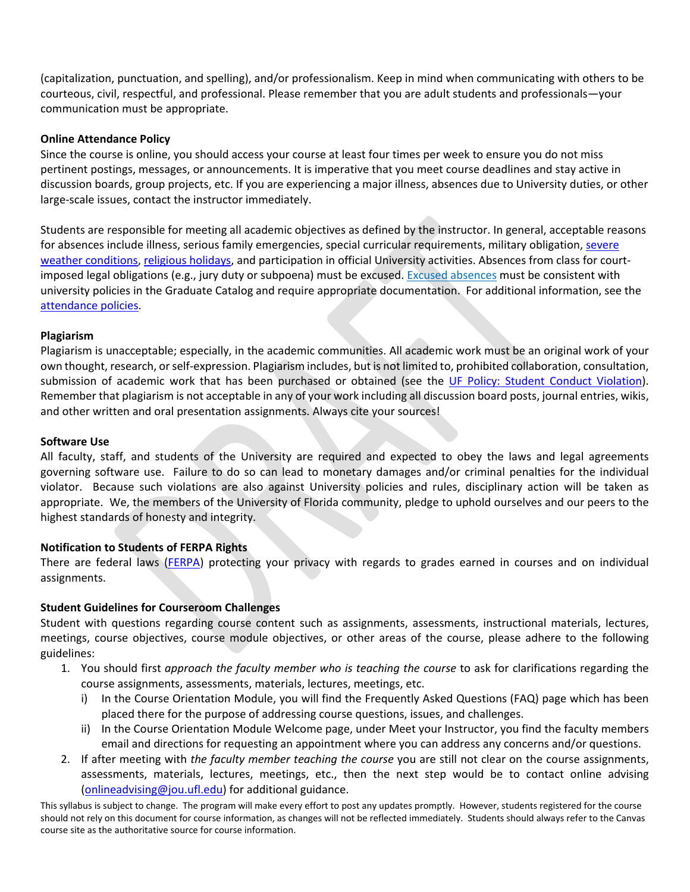(capitalization, punctuation, and spelling), and/or professionalism. Keep in mind when communicating with others to be courteous, civil, respectful, and professional. Please remember that you are adult students and professionals—your communication must be appropriate.

#### **Online Attendance Policy**

Since the course is online, you should access your course at least four times per week to ensure you do not miss pertinent postings, messages, or announcements. It is imperative that you meet course deadlines and stay active in discussion boards, group projects, etc. If you are experiencing a major illness, absences due to University duties, or other large-scale issues, contact the instructor immediately.

Students are responsible for meeting all academic objectives as defined by the instructor. In general, acceptable reasons for absences include illness, serious family emergencies, special curricular requirements, military obligation, severe [weather conditions,](https://emergency.ufl.edu/weather-information/) [religious holidays,](https://regulations.ufl.edu/wp-content/uploads/2012/09/4052.pdf) and participation in official University activities. Absences from class for courtimposed legal obligations (e.g., jury duty or subpoena) must be excused. [Excused absences](https://catalog.ufl.edu/graduate/regulations/#text) must be consistent with university policies in the Graduate Catalog and require appropriate documentation. For additional information, see the [attendance policies.](https://catalog.ufl.edu/UGRD/academic-regulations/attendance-policies/)

#### **Plagiarism**

Plagiarism is unacceptable; especially, in the academic communities. All academic work must be an original work of your own thought, research, or self-expression. Plagiarism includes, but is not limited to, prohibited collaboration, consultation, submission of academic work that has been purchased or obtained (see the [UF Policy: Student Conduct Violation\)](https://flexible.dce.ufl.edu/media/flexibledceufledu/documents/uf_policy_student_conduct.pdf). Remember that plagiarism is not acceptable in any of your work including all discussion board posts, journal entries, wikis, and other written and oral presentation assignments. Always cite your sources!

#### **Software Use**

All faculty, staff, and students of the University are required and expected to obey the laws and legal agreements governing software use. Failure to do so can lead to monetary damages and/or criminal penalties for the individual violator. Because such violations are also against University policies and rules, disciplinary action will be taken as appropriate. We, the members of the University of Florida community, pledge to uphold ourselves and our peers to the highest standards of honesty and integrity.

#### **Notification to Students of FERPA Rights**

There are federal laws [\(FERPA\)](https://registrar.ufl.edu/ferpa) protecting your privacy with regards to grades earned in courses and on individual assignments.

#### **Student Guidelines for Courseroom Challenges**

Student with questions regarding course content such as assignments, assessments, instructional materials, lectures, meetings, course objectives, course module objectives, or other areas of the course, please adhere to the following guidelines:

- 1. You should first *approach the faculty member who is teaching the course* to ask for clarifications regarding the course assignments, assessments, materials, lectures, meetings, etc.
	- i) In the Course Orientation Module, you will find the Frequently Asked Questions (FAQ) page which has been placed there for the purpose of addressing course questions, issues, and challenges.
	- ii) In the Course Orientation Module Welcome page, under Meet your Instructor, you find the faculty members email and directions for requesting an appointment where you can address any concerns and/or questions.
- 2. If after meeting with *the faculty member teaching the course* you are still not clear on the course assignments, assessments, materials, lectures, meetings, etc., then the next step would be to contact online advising [\(onlineadvising@jou.ufl.edu\)](mailto:onlineadvising@jou.ufl.edu) for additional guidance.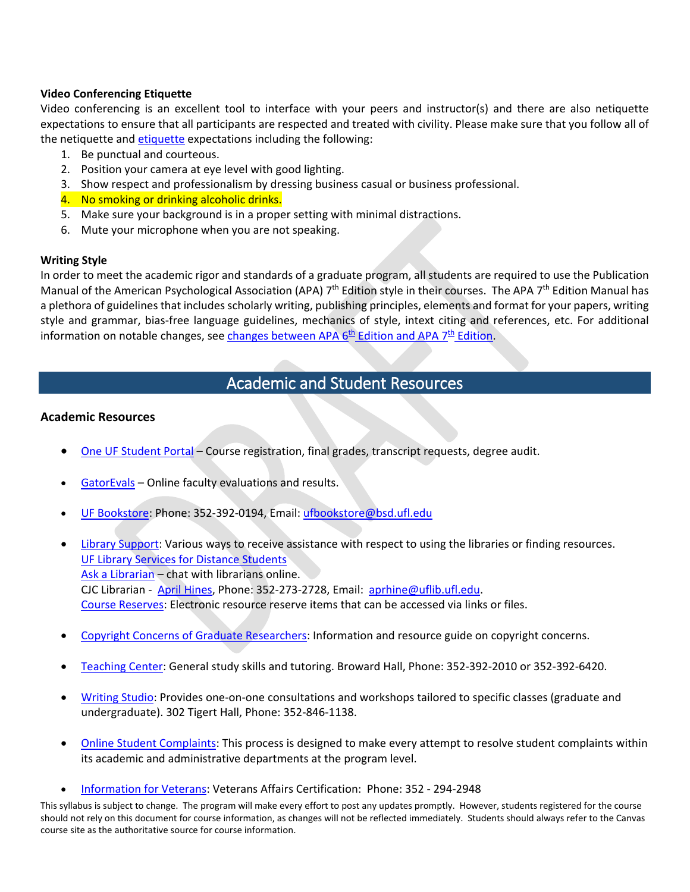#### **Video Conferencing Etiquette**

Video conferencing is an excellent tool to interface with your peers and instructor(s) and there are also netiquette expectations to ensure that all participants are respected and treated with civility. Please make sure that you follow all of the netiquette and [etiquette](https://www.advising.ufl.edu/docs/ProfessionalEtiquette.pdf) expectations including the following:

- 1. Be punctual and courteous.
- 2. Position your camera at eye level with good lighting.
- 3. Show respect and professionalism by dressing business casual or business professional.
- 4. No smoking or drinking alcoholic drinks.
- 5. Make sure your background is in a proper setting with minimal distractions.
- 6. Mute your microphone when you are not speaking.

#### **Writing Style**

In order to meet the academic rigor and standards of a graduate program, all students are required to use the Publication Manual of the American Psychological Association (APA)  $7<sup>th</sup>$  Edition style in their courses. The APA  $7<sup>th</sup>$  Edition Manual has a plethora of guidelines that includes scholarly writing, publishing principles, elements and format for your papers, writing style and grammar, bias-free language guidelines, mechanics of style, intext citing and references, etc. For additional information on notable changes, see changes between APA  $6<sup>th</sup>$  Edition and APA  $7<sup>th</sup>$  Edition.

# Academic and Student Resources

#### **Academic Resources**

- [One UF Student Portal](https://one.uf.edu/dashboard/) Course registration, final grades, transcript requests, degree audit.
- [GatorEvals](https://gatorevals.aa.ufl.edu/) Online faculty evaluations and results.
- [UF Bookstore:](https://www.bsd.ufl.edu/g1c/bookstore/bookstore.asp) Phone: 352-392-0194, Email: [ufbookstore@bsd.ufl.edu](mailto:ufbookstore@bsd.ufl.edu)
- [Library Support:](https://cms.uflib.ufl.edu/ask) Various ways to receive assistance with respect to using the libraries or finding resources. [UF Library Services for Distance Students](http://guides.uflib.ufl.edu/distancelearners) [Ask a Librarian](http://cms.uflib.ufl.edu/ask) – chat with librarians online. CJC Librarian - [April Hines,](mailto:aprhine@uflib.ufl.edu) Phone: 352-273-2728, Email: [aprhine@uflib.ufl.edu.](mailto:aprhine@uflib.ufl.edu) [Course Reserves:](https://cms.uflib.ufl.edu/accesssupport/coursereserves) Electronic resource reserve items that can be accessed via links or files.
- Copyright Concerns [of Graduate Researchers:](http://guides.uflib.ufl.edu/copyright/copyrightgradstudents) Information and resource guide on copyright concerns.
- [Teaching Center:](https://teachingcenter.ufl.edu/) General study skills and tutoring. Broward Hall, Phone: 352-392-2010 or 352-392-6420.
- [Writing Studio:](https://umatter.ufl.edu/office/writing-studio/) Provides one-on-one consultations and workshops tailored to specific classes (graduate and undergraduate). 302 Tigert Hall, Phone: 352-846-1138.
- [Online Student Complaints:](https://distance.ufl.edu/student-complaint-process/) This process is designed to make every attempt to resolve student complaints within its academic and administrative departments at the program level.
- [Information for Veterans:](http://veterans.ufl.edu/) Veterans Affairs Certification: Phone: 352 294-2948